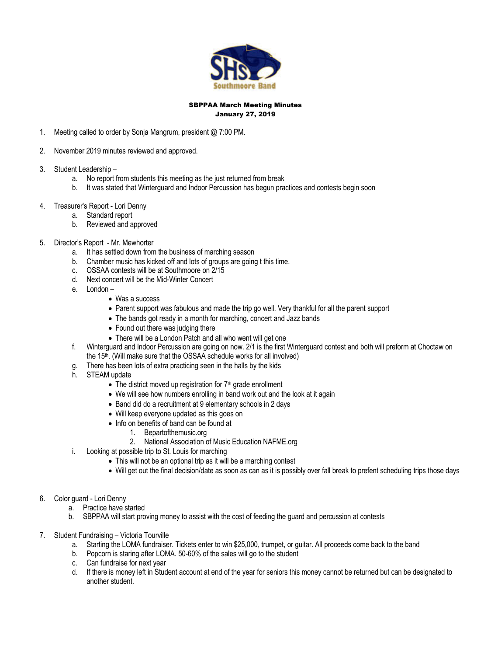

#### SBPPAA March Meeting Minutes January 27, 2019

- 1. Meeting called to order by Sonja Mangrum, president @ 7:00 PM.
- 2. November 2019 minutes reviewed and approved.
- 3. Student Leadership
	- a. No report from students this meeting as the just returned from break
	- b. It was stated that Winterguard and Indoor Percussion has begun practices and contests begin soon
- 4. Treasurer's Report Lori Denny
	- a. Standard report
	- b. Reviewed and approved
- 5. Director's Report Mr. Mewhorter
	- a. It has settled down from the business of marching season
	- b. Chamber music has kicked off and lots of groups are going t this time.
	- c. OSSAA contests will be at Southmoore on 2/15
	- d. Next concert will be the Mid-Winter Concert
	- e. London
		- Was a success
		- Parent support was fabulous and made the trip go well. Very thankful for all the parent support
		- The bands got ready in a month for marching, concert and Jazz bands
		- Found out there was judging there
		- There will be a London Patch and all who went will get one
	- f. Winterguard and Indoor Percussion are going on now. 2/1 is the first Winterguard contest and both will preform at Choctaw on the 15th. (Will make sure that the OSSAA schedule works for all involved)
	- g. There has been lots of extra practicing seen in the halls by the kids
	- h. STEAM update
		- The district moved up registration for  $7<sup>th</sup>$  grade enrollment
		- We will see how numbers enrolling in band work out and the look at it again
		- Band did do a recruitment at 9 elementary schools in 2 days
		- Will keep everyone updated as this goes on
		- Info on benefits of band can be found at
			- 1. Bepartofthemusic.org
			- 2. National Association of Music Education NAFME.org
	- i. Looking at possible trip to St. Louis for marching
		- This will not be an optional trip as it will be a marching contest
		- Will get out the final decision/date as soon as can as it is possibly over fall break to prefent scheduling trips those days
- 6. Color guard Lori Denny
	- a. Practice have started
	- b. SBPPAA will start proving money to assist with the cost of feeding the guard and percussion at contests
- 7. Student Fundraising Victoria Tourville
	- a. Starting the LOMA fundraiser. Tickets enter to win \$25,000, trumpet, or guitar. All proceeds come back to the band
	- b. Popcorn is staring after LOMA. 50-60% of the sales will go to the student
	- c. Can fundraise for next year
	- d. If there is money left in Student account at end of the year for seniors this money cannot be returned but can be designated to another student.